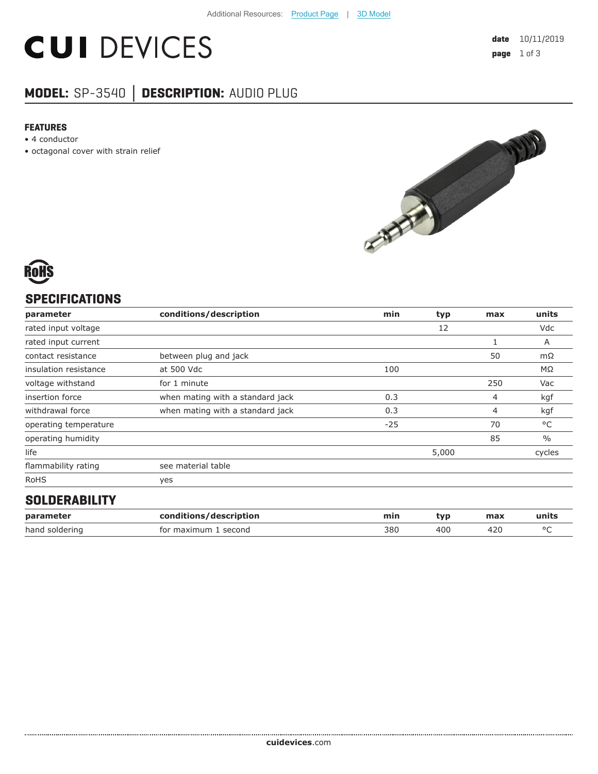# **CUI DEVICES**

# **MODEL:** SP-3540 **│ DESCRIPTION:** AUDIO PLUG

#### **FEATURES**

- 4 conductor
- octagonal cover with strain relief



# **SPECIFICATIONS**

| parameter             | conditions/description           | min   | typ   | max | units         |
|-----------------------|----------------------------------|-------|-------|-----|---------------|
| rated input voltage   |                                  |       | 12    |     | Vdc           |
| rated input current   |                                  |       |       |     | A             |
| contact resistance    | between plug and jack            |       |       | 50  | mΩ            |
| insulation resistance | at 500 Vdc                       | 100   |       |     | MΩ            |
| voltage withstand     | for 1 minute                     |       |       | 250 | Vac           |
| insertion force       | when mating with a standard jack | 0.3   |       | 4   | kgf           |
| withdrawal force      | when mating with a standard jack | 0.3   |       | 4   | kgf           |
| operating temperature |                                  | $-25$ |       | 70  | °C            |
| operating humidity    |                                  |       |       | 85  | $\frac{0}{0}$ |
| life                  |                                  |       | 5,000 |     | cycles        |
| flammability rating   | see material table               |       |       |     |               |
| <b>RoHS</b>           | yes                              |       |       |     |               |
| OOL BEBABILITY        |                                  |       |       |     |               |

### **SOLDERABILITY**

| parameter      | conditions/description | mir. | tvr | max | units |
|----------------|------------------------|------|-----|-----|-------|
| hand soldering | for maximum<br>second  | 380  | 40C |     |       |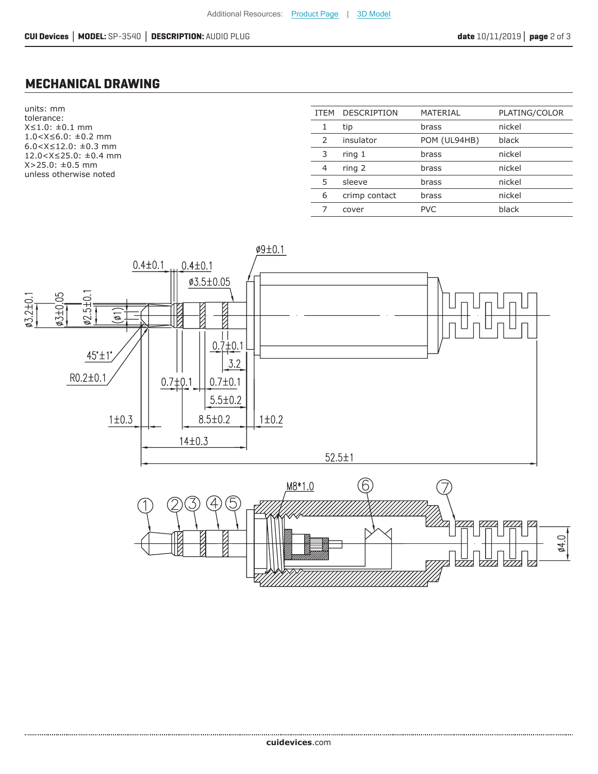## **MECHANICAL DRAWING**

units: mm tolerance: X≤1.0: ±0.1 mm 1.0<X≤6.0: ±0.2 mm 6.0<X≤12.0: ±0.3 mm 12.0<X≤25.0: ±0.4 mm X>25.0: ±0.5 mm unless otherwise noted

| <b>ITEM</b>   | <b>DESCRIPTION</b> | <b>MATERIAL</b> | PLATING/COLOR |
|---------------|--------------------|-----------------|---------------|
| 1             | tip                | brass           | nickel        |
| $\mathcal{P}$ | insulator          | POM (UL94HB)    | black         |
| 3             | ring 1             | brass           | nickel        |
| 4             | ring 2             | brass           | nickel        |
| 5             | sleeve             | brass           | nickel        |
| 6             | crimp contact      | brass           | nickel        |
|               | cover              | <b>PVC</b>      | black         |
|               |                    |                 |               |